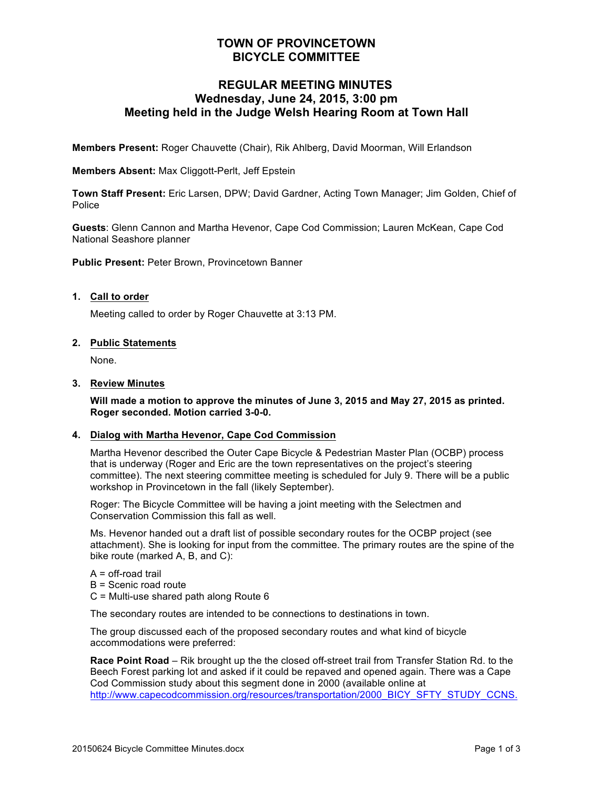# **TOWN OF PROVINCETOWN BICYCLE COMMITTEE**

## **REGULAR MEETING MINUTES Wednesday, June 24, 2015, 3:00 pm Meeting held in the Judge Welsh Hearing Room at Town Hall**

**Members Present:** Roger Chauvette (Chair), Rik Ahlberg, David Moorman, Will Erlandson

#### **Members Absent:** Max Cliggott-Perlt, Jeff Epstein

**Town Staff Present:** Eric Larsen, DPW; David Gardner, Acting Town Manager; Jim Golden, Chief of Police

**Guests**: Glenn Cannon and Martha Hevenor, Cape Cod Commission; Lauren McKean, Cape Cod National Seashore planner

**Public Present:** Peter Brown, Provincetown Banner

#### **1. Call to order**

Meeting called to order by Roger Chauvette at 3:13 PM.

#### **2. Public Statements**

None.

## **3. Review Minutes**

**Will made a motion to approve the minutes of June 3, 2015 and May 27, 2015 as printed. Roger seconded. Motion carried 3-0-0.**

#### **4. Dialog with Martha Hevenor, Cape Cod Commission**

Martha Hevenor described the Outer Cape Bicycle & Pedestrian Master Plan (OCBP) process that is underway (Roger and Eric are the town representatives on the project's steering committee). The next steering committee meeting is scheduled for July 9. There will be a public workshop in Provincetown in the fall (likely September).

Roger: The Bicycle Committee will be having a joint meeting with the Selectmen and Conservation Commission this fall as well.

Ms. Hevenor handed out a draft list of possible secondary routes for the OCBP project (see attachment). She is looking for input from the committee. The primary routes are the spine of the bike route (marked A, B, and C):

- $A = off$ -road trail
- B = Scenic road route
- C = Multi-use shared path along Route 6

The secondary routes are intended to be connections to destinations in town.

The group discussed each of the proposed secondary routes and what kind of bicycle accommodations were preferred:

**Race Point Road** – Rik brought up the the closed off-street trail from Transfer Station Rd. to the Beech Forest parking lot and asked if it could be repaved and opened again. There was a Cape Cod Commission study about this segment done in 2000 (available online at http://www.capecodcommission.org/resources/transportation/2000\_BICY\_SFTY\_STUDY\_CCNS.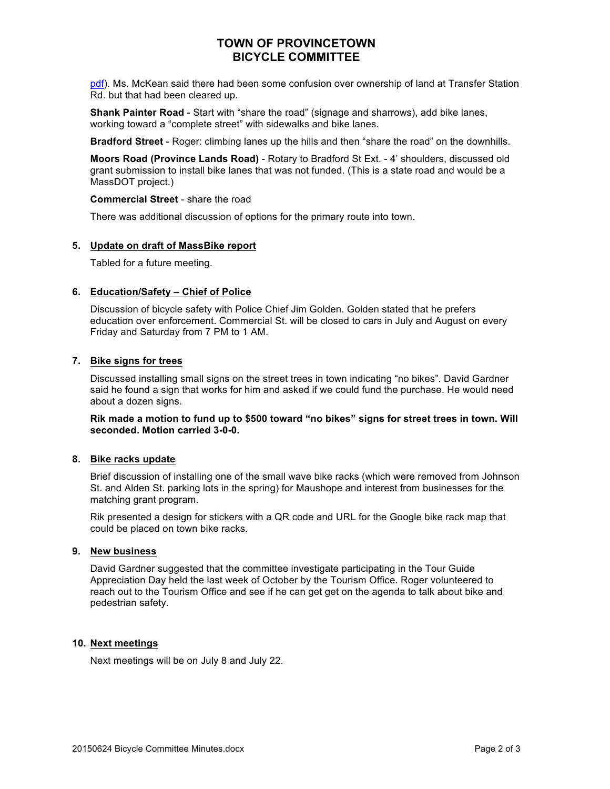# **TOWN OF PROVINCETOWN BICYCLE COMMITTEE**

pdf). Ms. McKean said there had been some confusion over ownership of land at Transfer Station Rd. but that had been cleared up.

**Shank Painter Road** - Start with "share the road" (signage and sharrows), add bike lanes, working toward a "complete street" with sidewalks and bike lanes.

**Bradford Street** - Roger: climbing lanes up the hills and then "share the road" on the downhills.

**Moors Road (Province Lands Road)** - Rotary to Bradford St Ext. - 4' shoulders, discussed old grant submission to install bike lanes that was not funded. (This is a state road and would be a MassDOT project.)

#### **Commercial Street** - share the road

There was additional discussion of options for the primary route into town.

#### **5. Update on draft of MassBike report**

Tabled for a future meeting.

#### **6. Education/Safety – Chief of Police**

Discussion of bicycle safety with Police Chief Jim Golden. Golden stated that he prefers education over enforcement. Commercial St. will be closed to cars in July and August on every Friday and Saturday from 7 PM to 1 AM.

## **7. Bike signs for trees**

Discussed installing small signs on the street trees in town indicating "no bikes". David Gardner said he found a sign that works for him and asked if we could fund the purchase. He would need about a dozen signs.

**Rik made a motion to fund up to \$500 toward "no bikes" signs for street trees in town. Will seconded. Motion carried 3-0-0.**

#### **8. Bike racks update**

Brief discussion of installing one of the small wave bike racks (which were removed from Johnson St. and Alden St. parking lots in the spring) for Maushope and interest from businesses for the matching grant program.

Rik presented a design for stickers with a QR code and URL for the Google bike rack map that could be placed on town bike racks.

## **9. New business**

David Gardner suggested that the committee investigate participating in the Tour Guide Appreciation Day held the last week of October by the Tourism Office. Roger volunteered to reach out to the Tourism Office and see if he can get get on the agenda to talk about bike and pedestrian safety.

#### **10. Next meetings**

Next meetings will be on July 8 and July 22.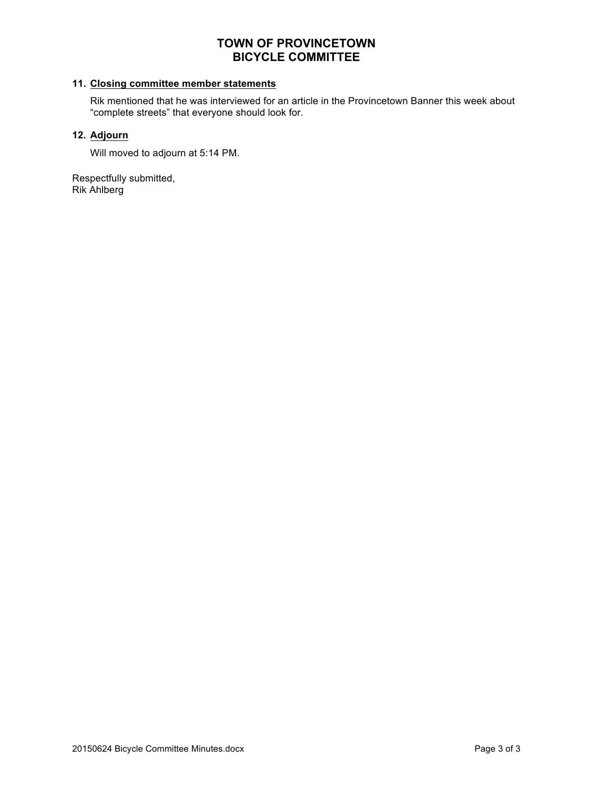# **TOWN OF PROVINCETOWN BICYCLE COMMITTEE**

## **11. Closing committee member statements**

Rik mentioned that he was interviewed for an article in the Provincetown Banner this week about "complete streets" that everyone should look for.

## **12. Adjourn**

Will moved to adjourn at 5:14 PM.

Respectfully submitted, Rik Ahlberg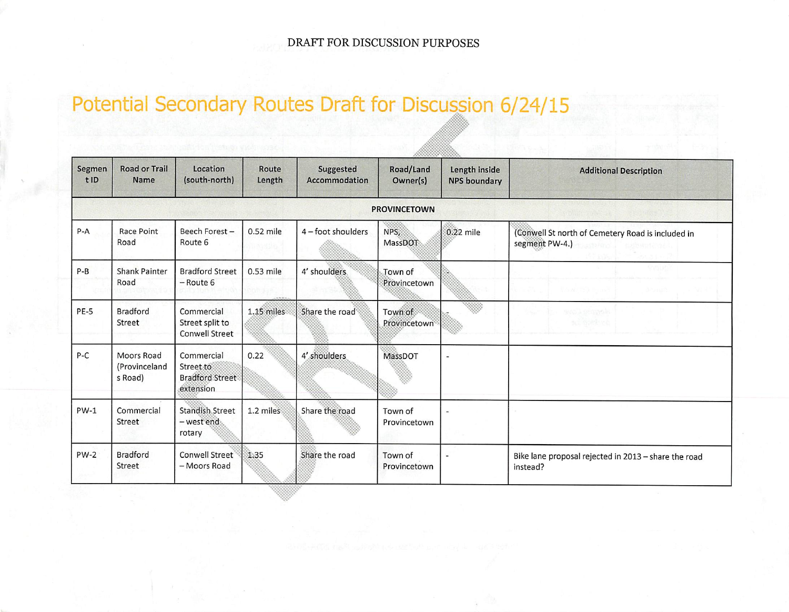# Potential Secondary Routes Draft for Discussion 6/24/15

| Segmen<br>t ID | <b>Road or Trail</b><br>Name           | Location<br>(south-north)                                      | Route<br>Length | Suggested<br>Accommodation | Road/Land<br>Owner(s)   | Length inside<br><b>NPS boundary</b> | <b>Additional Description</b>                                                        |
|----------------|----------------------------------------|----------------------------------------------------------------|-----------------|----------------------------|-------------------------|--------------------------------------|--------------------------------------------------------------------------------------|
|                |                                        |                                                                |                 |                            | <b>PROVINCETOWN</b>     |                                      |                                                                                      |
| $P - A$        | Race Point<br>Road                     | Beech Forest-<br>Route 6                                       | 0.52 mile       | $4$ – foot shoulders       | NPS,<br>MassDOT         | 0.22 mile                            | (Conwell St north of Cemetery Road is included in<br>segment PW-4.)<br>sendi ashema. |
| $P-B$          | <b>Shank Painter</b><br>Road           | <b>Bradford Street</b><br>$-$ Route 6                          | 0.53 mile       | 4' shoulders               | Town of<br>Provincetown |                                      | Weel/Top Print<br>di Sansa                                                           |
| PE-5           | <b>Bradford</b><br>Street              | Commercial<br>Street split to<br><b>Conwell Street</b>         | $1.15$ miles    | Share the road             | Town of<br>Provincetown | HE S                                 | <b>SVGJ SPUGAL</b><br>2010/09/2012                                                   |
| P-C            | Moors Road<br>(Provinceland<br>s Road) | Commercial<br>Street to<br><b>Bradford Street</b><br>extension | 0.22            | 4' shoulders               | MassDOT                 |                                      |                                                                                      |
| $PW-1$         | Commercial<br>Street                   | Standish Street<br>- west end<br>rotary                        | 1.2 miles       | Share the road             | Town of<br>Provincetown |                                      |                                                                                      |
| $PW-2$         | <b>Bradford</b><br>Street              | Conwell Street<br>- Moors Road                                 | 1.35            | Share the road             | Town of<br>Provincetown |                                      | Bike lane proposal rejected in 2013 - share the road<br>instead?                     |